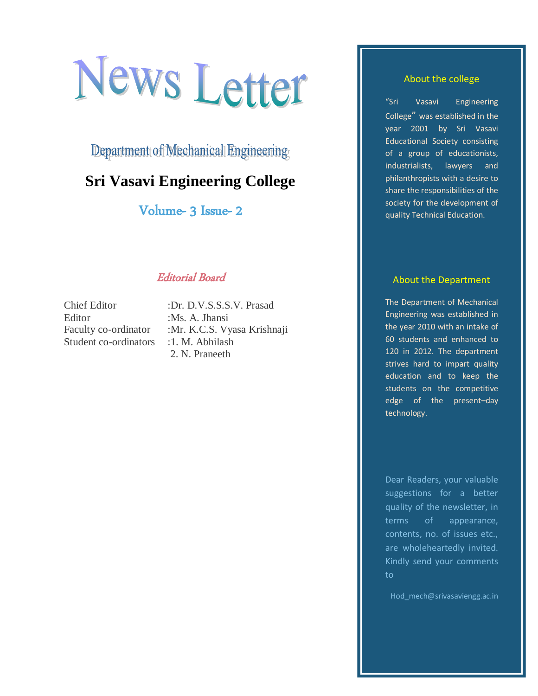# News Letter

Department of Mechanical Engineering

# **Sri Vasavi Engineering College**

Volume- 3 Issue- 2

## Editorial Board

Chief Editor :Dr. D.V.S.S.S.V. Prasad Editor :Ms. A. Jhansi Student co-ordinators : 1. M. Abhilash

Faculty co-ordinator :Mr. K.C.S. Vyasa Krishnaji 2. N. Praneeth

#### About the college

"Sri Vasavi Engineering College" was established in the year 2001 by Sri Vasavi Educational Society consisting of a group of educationists, industrialists, lawyers and philanthropists with a desire to share the responsibilities of the society for the development of quality Technical Education.

#### About the Department

The Department of Mechanical Engineering was established in the year 2010 with an intake of 60 students and enhanced to 120 in 2012. The department strives hard to impart quality education and to keep the students on the competitive edge of the present–day technology.

Dear Readers, your valuable suggestions for a better quality of the newsletter, in terms of appearance, contents, no. of issues etc., are wholeheartedly invited. Kindly send your comments to

Hod\_mech@srivasaviengg.ac.in